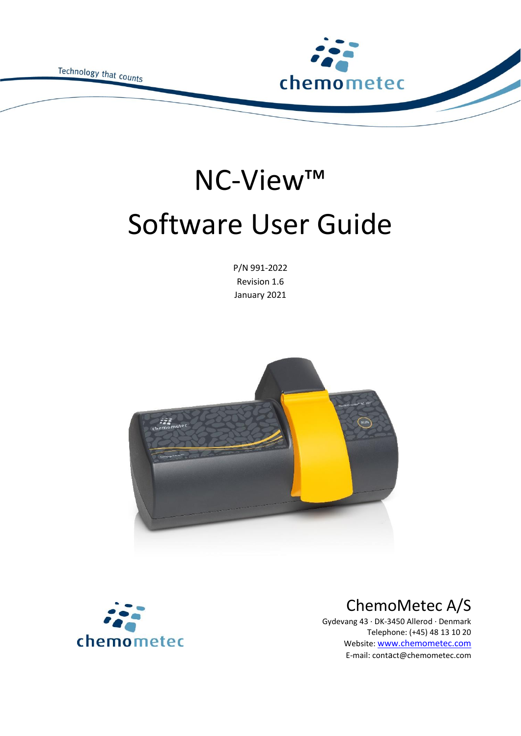Technology that counts



# NC-View™ Software User Guide

P/N 991-2022 Revision 1.6 January 2021





### ChemoMetec A/S

Gydevang 43 · DK-3450 Allerod · Denmark Telephone: (+45) 48 13 10 20 Website: [www.chemometec.com](http://www.chemometec.com/) E-mail: contact@chemometec.com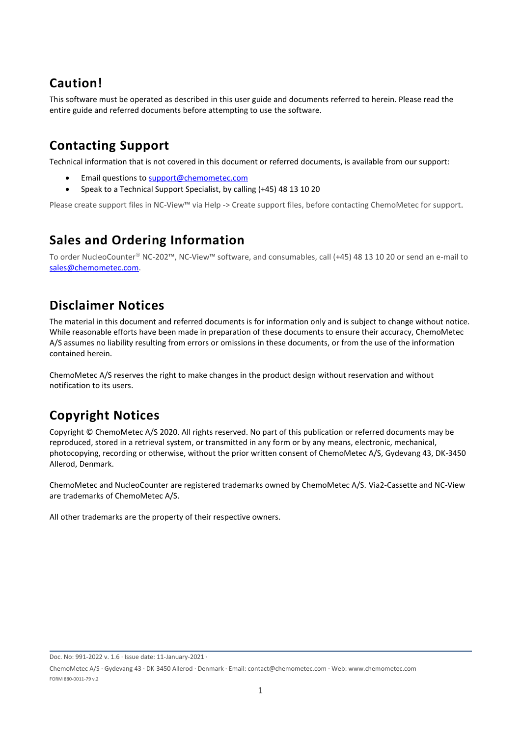### **Caution!**

This software must be operated as described in this user guide and documents referred to herein. Please read the entire guide and referred documents before attempting to use the software.

### **Contacting Support**

Technical information that is not covered in this document or referred documents, is available from our support:

- Email questions to [support@chemometec.com](mailto:support@chemometec.com)
- Speak to a Technical Support Specialist, by calling (+45) 48 13 10 20

Please create support files in NC-View™ via Help -> Create support files, before contacting ChemoMetec for support.

### **Sales and Ordering Information**

To order NucleoCounter® NC-202™, NC-View™ software, and consumables, call (+45) 48 13 10 20 or send an e-mail to [sales@chemometec.com.](mailto:sales@chemometec.com)

### **Disclaimer Notices**

The material in this document and referred documents is for information only and is subject to change without notice. While reasonable efforts have been made in preparation of these documents to ensure their accuracy, ChemoMetec A/S assumes no liability resulting from errors or omissions in these documents, or from the use of the information contained herein.

ChemoMetec A/S reserves the right to make changes in the product design without reservation and without notification to its users.

### **Copyright Notices**

Copyright © ChemoMetec A/S 2020. All rights reserved. No part of this publication or referred documents may be reproduced, stored in a retrieval system, or transmitted in any form or by any means, electronic, mechanical, photocopying, recording or otherwise, without the prior written consent of ChemoMetec A/S, Gydevang 43, DK-3450 Allerod, Denmark.

ChemoMetec and NucleoCounter are registered trademarks owned by ChemoMetec A/S. Via2-Cassette and NC-View are trademarks of ChemoMetec A/S.

All other trademarks are the property of their respective owners.

Doc. No: 991-2022 v. 1.6 · Issue date: 11-January-2021 ·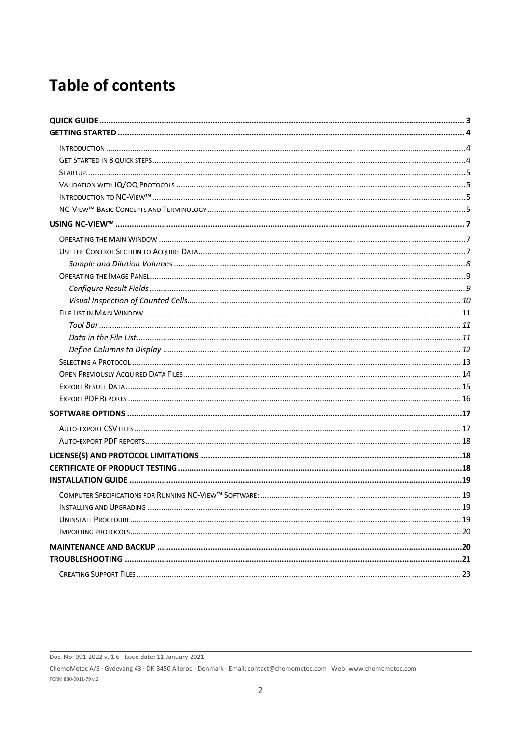# **Table of contents**

Doc. No: 991-2022 v. 1.6 · Issue date: 11-January-2021 ·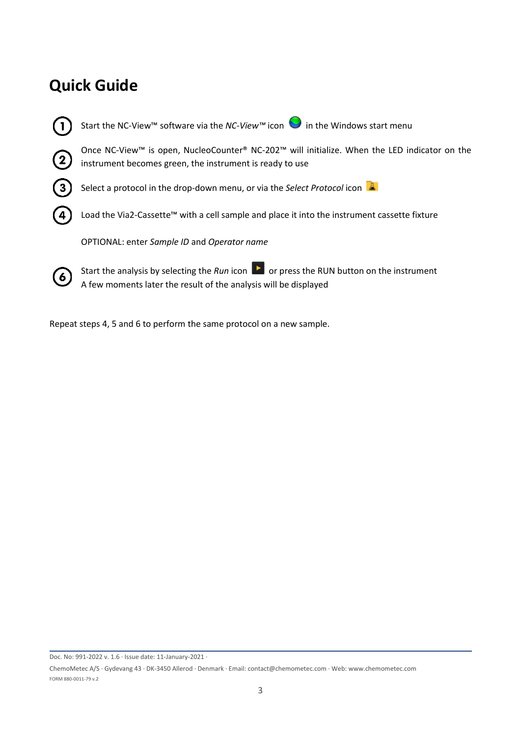## <span id="page-3-0"></span>**Quick Guide**

Start the NC-View<sup>™</sup> software via the *NC-View*<sup>™</sup> icon **in** the Windows start menu Once NC-View™ is open, NucleoCounter® NC-202™ will initialize. When the LED indicator on the instrument becomes green, the instrument is ready to use Select a protocol in the drop-down menu, or via the *Select Protocol* icon Load the Via2-Cassette™ with a cell sample and place it into the instrument cassette fixture OPTIONAL: enter *Sample ID* and *Operator name* Start the analysis by selecting the *Run* icon **b** or press the RUN button on the instrument  $\mathbf{6}$ A few moments later the result of the analysis will be displayed

Repeat steps 4, 5 and 6 to perform the same protocol on a new sample.

Doc. No: 991-2022 v. 1.6 · Issue date: 11-January-2021 ·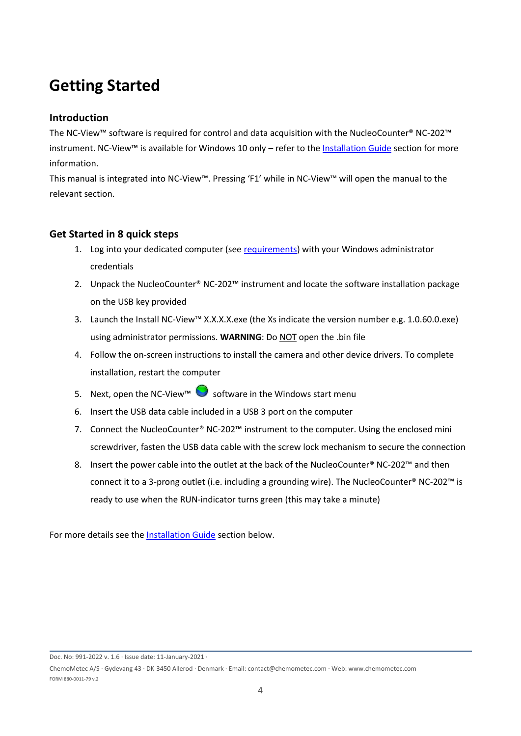## <span id="page-4-0"></span>**Getting Started**

#### <span id="page-4-1"></span>**Introduction**

The NC-View™ software is required for control and data acquisition with the NucleoCounter® NC-202™ instrument. NC-View™ is available for Windows 10 only – refer to th[e Installation Guide](#page-19-0) section for more information.

This manual is integrated into NC-View™. Pressing 'F1' while in NC-View™ will open the manual to the relevant section.

#### <span id="page-4-2"></span>**Get Started in 8 quick steps**

- 1. Log into your dedicated computer (se[e requirements\)](#page-19-1) with your Windows administrator credentials
- 2. Unpack the NucleoCounter® NC-202™ instrument and locate the software installation package on the USB key provided
- 3. Launch the Install NC-View™ X.X.X.X.exe (the Xs indicate the version number e.g. 1.0.60.0.exe) using administrator permissions. **WARNING**: Do NOT open the .bin file
- 4. Follow the on-screen instructions to install the camera and other device drivers. To complete installation, restart the computer
- 5. Next, open the NC-View™ Software in the Windows start menu
- 6. Insert the USB data cable included in a USB 3 port on the computer
- 7. Connect the NucleoCounter® NC-202™ instrument to the computer. Using the enclosed mini screwdriver, fasten the USB data cable with the screw lock mechanism to secure the connection
- 8. Insert the power cable into the outlet at the back of the NucleoCounter® NC-202™ and then connect it to a 3-prong outlet (i.e. including a grounding wire). The NucleoCounter® NC-202™ is ready to use when the RUN-indicator turns green (this may take a minute)

For more details see the [Installation Guide](#page-19-0) section below.

Doc. No: 991-2022 v. 1.6 · Issue date: 11-January-2021 ·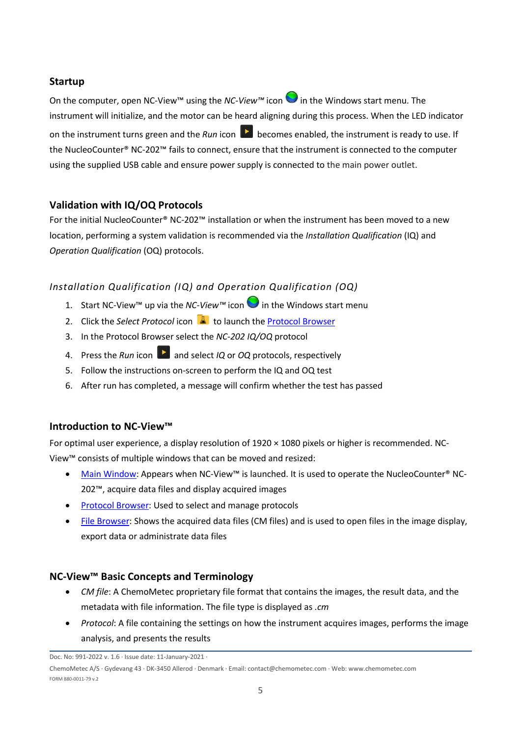#### <span id="page-5-0"></span>**Startup**

On the computer, open NC-View™ using the *NC-View™* icon in the Windows start menu. The instrument will initialize, and the motor can be heard aligning during this process. When the LED indicator on the instrument turns green and the *Run* icon **b** becomes enabled, the instrument is ready to use. If the NucleoCounter® NC-202™ fails to connect, ensure that the instrument is connected to the computer using the supplied USB cable and ensure power supply is connected to the main power outlet.

#### <span id="page-5-1"></span>**Validation with IQ/OQ Protocols**

For the initial NucleoCounter® NC-202™ installation or when the instrument has been moved to a new location, performing a system validation is recommended via the *Installation Qualification* (IQ) and *Operation Qualification* (OQ) protocols.

#### *Installation Qualification (IQ) and Operation Qualification (OQ)*

- 1. Start NC-View™ up via the *NC-View™* icon in the Windows start menu
- 2. Click the *Select Protocol* icon **A** to launch th[e Protocol Browser](#page-13-0)
- 3. In the Protocol Browser select the *NC-202 IQ/OQ* protocol
- 4. Press the *Run* icon **b** and select *IQ* or *OQ* protocols, respectively
- 5. Follow the instructions on-screen to perform the IQ and OQ test
- 6. After run has completed, a message will confirm whether the test has passed

#### <span id="page-5-2"></span>**Introduction to NC-View™**

For optimal user experience, a display resolution of  $1920 \times 1080$  pixels or higher is recommended. NC-View™ consists of multiple windows that can be moved and resized:

- [Main Window:](#page-7-0) Appears when NC-View™ is launched. It is used to operate the NucleoCounter® NC-202™, acquire data files and display acquired images
- [Protocol Browser:](#page-13-0) Used to select and manage protocols
- [File Browser:](#page-14-0) Shows the acquired data files (CM files) and is used to open files in the image display, export data or administrate data files

#### <span id="page-5-3"></span>**NC-View™ Basic Concepts and Terminology**

- *CM file*: A ChemoMetec proprietary file format that contains the images, the result data, and the metadata with file information. The file type is displayed as *.cm*
- *Protocol*: A file containing the settings on how the instrument acquires images, performs the image analysis, and presents the results

Doc. No: 991-2022 v. 1.6 · Issue date: 11-January-2021 ·

ChemoMetec A/S · Gydevang 43 · DK-3450 Allerod · Denmark · Email: contact@chemometec.com · Web: www.chemometec.com FORM 880-0011-79 v.2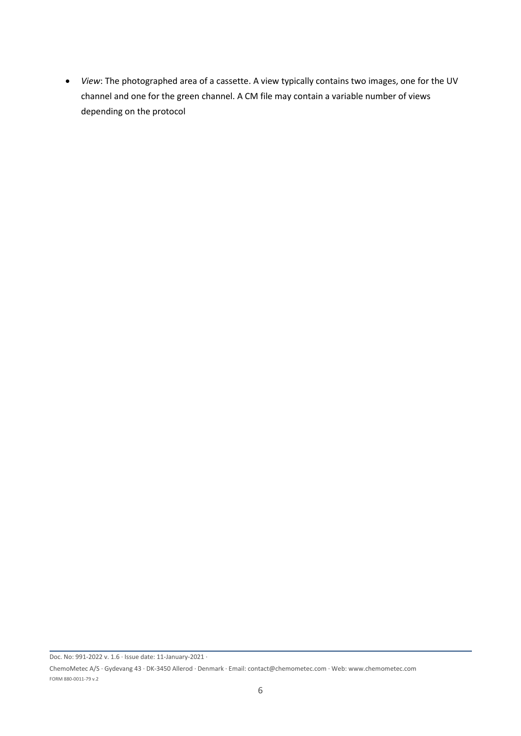• *View*: The photographed area of a cassette. A view typically contains two images, one for the UV channel and one for the green channel. A CM file may contain a variable number of views depending on the protocol

Doc. No: 991-2022 v. 1.6 · Issue date: 11-January-2021 ·

ChemoMetec A/S · Gydevang 43 · DK-3450 Allerod · Denmark · Email: contact@chemometec.com · Web: www.chemometec.com FORM 880-0011-79 v.2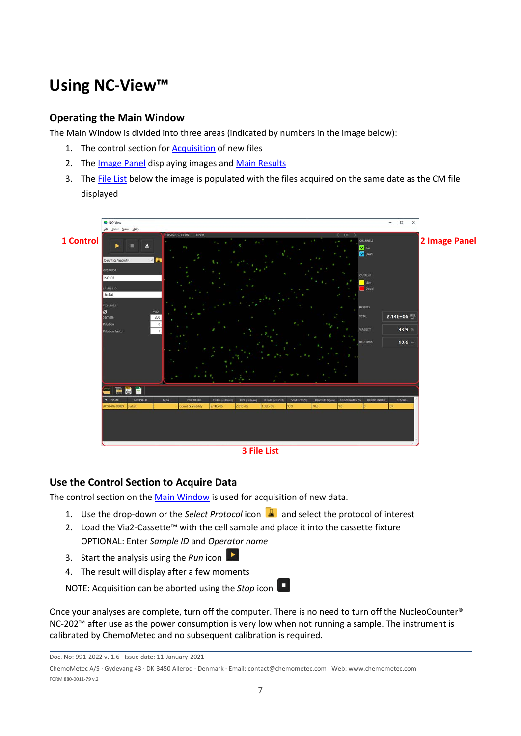# <span id="page-7-0"></span>**Using NC-View™**

#### <span id="page-7-1"></span>**Operating the Main Window**

The Main Window is divided into three areas (indicated by numbers in the image below):

- 1. The control section fo[r Acquisition](#page-7-2) of new files
- 2. The [Image Panel](#page-8-1) displaying images an[d Main Results](#page-9-1)
- 3. The [File List](#page-10-1) below the image is populated with the files acquired on the same date as the CM file displayed



#### **3 File List**

#### <span id="page-7-2"></span>**Use the Control Section to Acquire Data**

The control section on th[e Main Window](#page-7-1) is used for acquisition of new data.

- 1. Use the drop-down or the *Select Protocol* icon **A** and select the protocol of interest
- 2. Load the Via2-Cassette™ with the cell sample and place it into the cassette fixture OPTIONAL: Enter *Sample ID* and *Operator name*
- 3. Start the analysis using the *Run* icon  $\blacktriangleright$
- 4. The result will display after a few moments

NOTE: Acquisition can be aborted using the *Stop* icon

Once your analyses are complete, turn off the computer. There is no need to turn off the NucleoCounter® NC-202<sup>™</sup> after use as the power consumption is very low when not running a sample. The instrument is calibrated by ChemoMetec and no subsequent calibration is required.

Doc. No: 991-2022 v. 1.6 · Issue date: 11-January-2021 ·

ChemoMetec A/S · Gydevang 43 · DK-3450 Allerod · Denmark · Email: contact@chemometec.com · Web: www.chemometec.com FORM 880-0011-79 v.2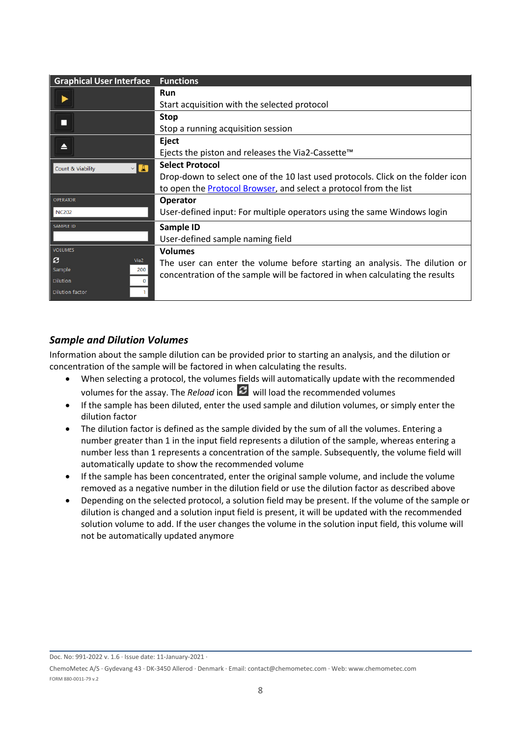| <b>Graphical User Interface</b>            | <b>Functions</b>                                                                |  |  |  |
|--------------------------------------------|---------------------------------------------------------------------------------|--|--|--|
|                                            | <b>Run</b>                                                                      |  |  |  |
|                                            | Start acquisition with the selected protocol                                    |  |  |  |
|                                            | <b>Stop</b>                                                                     |  |  |  |
|                                            | Stop a running acquisition session                                              |  |  |  |
|                                            | Eject                                                                           |  |  |  |
|                                            | Ejects the piston and releases the Via2-Cassette <sup>™</sup>                   |  |  |  |
| $\vee$ $\blacksquare$<br>Count & Viability | <b>Select Protocol</b>                                                          |  |  |  |
|                                            | Drop-down to select one of the 10 last used protocols. Click on the folder icon |  |  |  |
|                                            | to open the <b>Protocol Browser</b> , and select a protocol from the list       |  |  |  |
| <b>OPERATOR</b>                            | <b>Operator</b>                                                                 |  |  |  |
| <b>NC202</b>                               | User-defined input: For multiple operators using the same Windows login         |  |  |  |
| <b>SAMPLE ID</b>                           | Sample ID                                                                       |  |  |  |
|                                            | User-defined sample naming field                                                |  |  |  |
| <b>VOLUMES</b>                             | <b>Volumes</b>                                                                  |  |  |  |
| e<br>Via <sub>2</sub>                      | The user can enter the volume before starting an analysis. The dilution or      |  |  |  |
| Sample<br>200                              | concentration of the sample will be factored in when calculating the results    |  |  |  |
| <b>Dilution</b><br>$\mathbf 0$             |                                                                                 |  |  |  |
| <b>Dilution factor</b>                     |                                                                                 |  |  |  |

#### <span id="page-8-0"></span>*Sample and Dilution Volumes*

Information about the sample dilution can be provided prior to starting an analysis, and the dilution or concentration of the sample will be factored in when calculating the results.

- When selecting a protocol, the volumes fields will automatically update with the recommended volumes for the assay. The *Reload* icon  $\mathcal{C}$  will load the recommended volumes
- If the sample has been diluted, enter the used sample and dilution volumes, or simply enter the dilution factor
- The dilution factor is defined as the sample divided by the sum of all the volumes. Entering a number greater than 1 in the input field represents a dilution of the sample, whereas entering a number less than 1 represents a concentration of the sample. Subsequently, the volume field will automatically update to show the recommended volume
- If the sample has been concentrated, enter the original sample volume, and include the volume removed as a negative number in the dilution field or use the dilution factor as described above
- <span id="page-8-1"></span>• Depending on the selected protocol, a solution field may be present. If the volume of the sample or dilution is changed and a solution input field is present, it will be updated with the recommended solution volume to add. If the user changes the volume in the solution input field, this volume will not be automatically updated anymore

Doc. No: 991-2022 v. 1.6 · Issue date: 11-January-2021 ·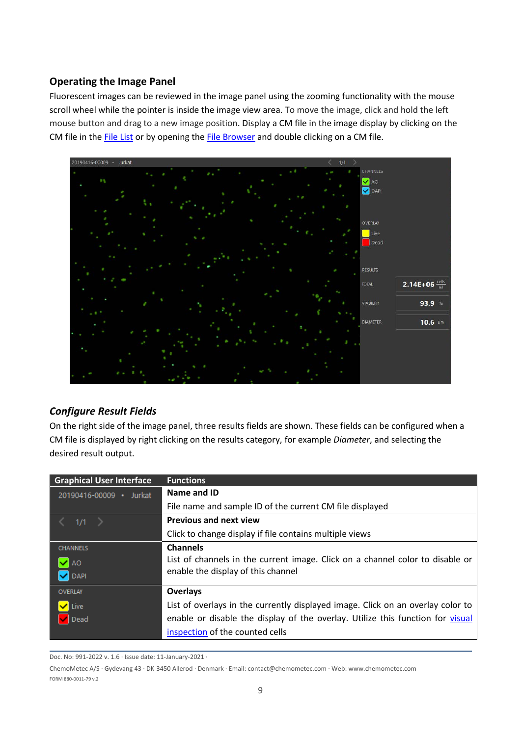#### <span id="page-9-0"></span>**Operating the Image Panel**

Fluorescent images can be reviewed in the image panel using the zooming functionality with the mouse scroll wheel while the pointer is inside the image view area. To move the image, click and hold the left mouse button and drag to a new image position. Display a CM file in the image display by clicking on the CM file in the **File List** or by opening th[e File Browser](#page-14-0) and double clicking on a CM file.



#### <span id="page-9-1"></span>*Configure Result Fields*

On the right side of the image panel, three results fields are shown. These fields can be configured when a CM file is displayed by right clicking on the results category, for example *Diameter*, and selecting the desired result output.

| <b>Graphical User Interface</b> | <b>Functions</b>                                                                |
|---------------------------------|---------------------------------------------------------------------------------|
| 20190416-00009 · Jurkat         | Name and ID                                                                     |
|                                 | File name and sample ID of the current CM file displayed                        |
| 1/1                             | <b>Previous and next view</b>                                                   |
|                                 | Click to change display if file contains multiple views                         |
| <b>CHANNELS</b>                 | <b>Channels</b>                                                                 |
| $\blacktriangledown$ AO         | List of channels in the current image. Click on a channel color to disable or   |
| <b>V</b> DAPI                   | enable the display of this channel                                              |
| <b>OVERLAY</b>                  | <b>Overlays</b>                                                                 |
| $\blacktriangledown$ Live       | List of overlays in the currently displayed image. Click on an overlay color to |
| Dead                            | enable or disable the display of the overlay. Utilize this function for visual  |
|                                 | inspection of the counted cells                                                 |

Doc. No: 991-2022 v. 1.6 · Issue date: 11-January-2021 ·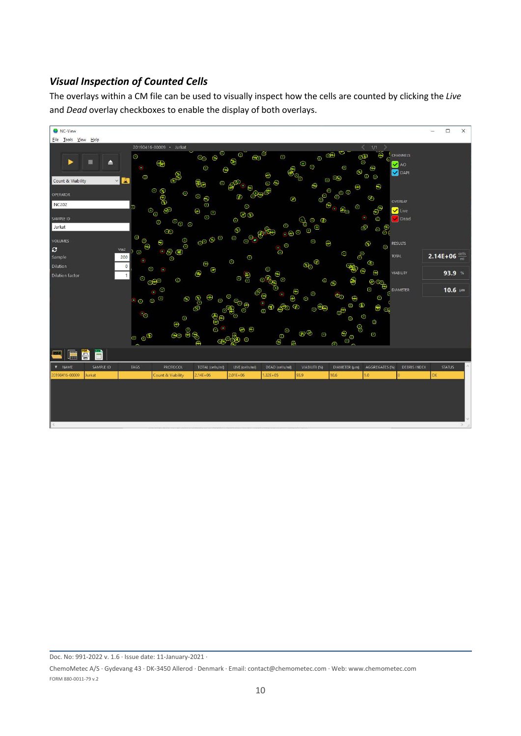#### <span id="page-10-0"></span>*Visual Inspection of Counted Cells*

The overlays within a CM file can be used to visually inspect how the cells are counted by clicking the *Live* and *Dead* overlay checkboxes to enable the display of both overlays.



<span id="page-10-1"></span>Doc. No: 991-2022 v. 1.6 · Issue date: 11-January-2021 ·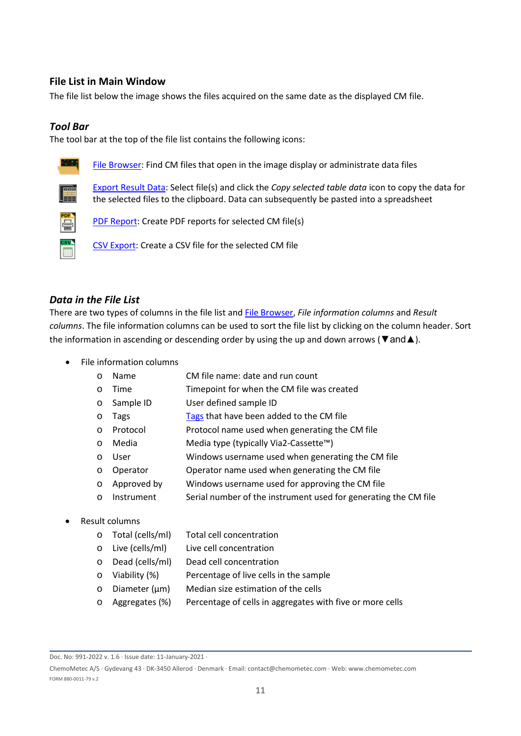#### <span id="page-11-0"></span>**File List in Main Window**

The file list below the image shows the files acquired on the same date as the displayed CM file.

#### <span id="page-11-1"></span>*Tool Bar*

The tool bar at the top of the file list contains the following icons:



[File Browser:](#page-14-0) Find CM files that open in the image display or administrate data files



[Export Result Data:](#page-15-0) Select file(s) and click the *Copy selected table data* icon to copy the data for the selected files to the clipboard. Data can subsequently be pasted into a spreadsheet



[PDF Report:](#page-16-0) Create PDF reports for selected CM file(s)

[CSV Export:](#page-14-0) Create a CSV file for the selected CM file

#### <span id="page-11-2"></span>*Data in the File List*

There are two types of columns in the file list and [File Browser,](#page-14-0) *File information columns* and *Result columns*. The file information columns can be used to sort the file list by clicking on the column header. Sort the information in ascending or descending order by using the up and down arrows ( $\nabla$  and  $\triangle$ ).

- File information columns
	- o Name CM file name: date and run count
	- o Time Timepoint for when the CM file was created
	- o Sample ID User defined sample ID
	- $\circ$  [Tags](#page-14-0) Tags that have been added to the CM file
	- o Protocol Protocol name used when generating the CM file
	- o Media Media type (typically Via2-Cassette™)
	- o User Windows username used when generating the CM file
	- o Operator Operator name used when generating the CM file
	- o Approved by Windows username used for approving the CM file
	- o Instrument Serial number of the instrument used for generating the CM file
- Result columns
	- o Total (cells/ml) Total cell concentration
	- o Live (cells/ml) Live cell concentration
	- o Dead (cells/ml) Dead cell concentration
	- o Viability (%) Percentage of live cells in the sample
	- o Diameter (µm) Median size estimation of the cells
	- o Aggregates (%) Percentage of cells in aggregates with five or more cells

Doc. No: 991-2022 v. 1.6 · Issue date: 11-January-2021 ·

ChemoMetec A/S · Gydevang 43 · DK-3450 Allerod · Denmark · Email: contact@chemometec.com · Web: www.chemometec.com FORM 880-0011-79 v.2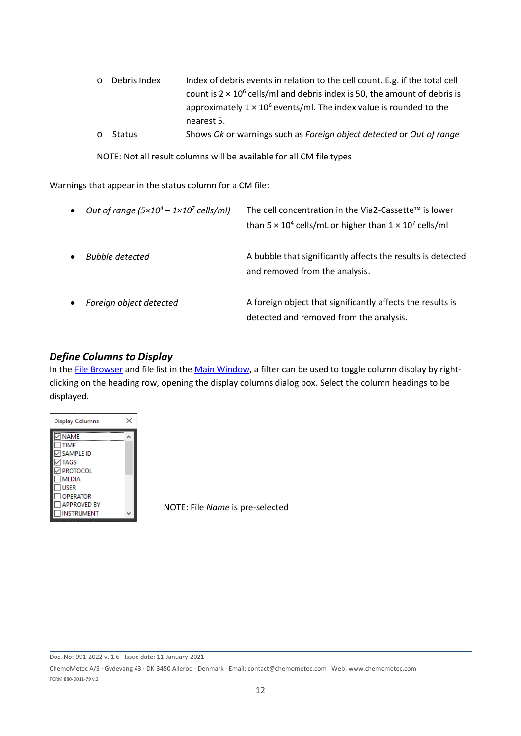| ○ Debris Index |        | Index of debris events in relation to the cell count. E.g. if the total cell      |
|----------------|--------|-----------------------------------------------------------------------------------|
|                |        | count is $2 \times 10^6$ cells/ml and debris index is 50, the amount of debris is |
|                |        | approximately $1 \times 10^6$ events/ml. The index value is rounded to the        |
|                |        | nearest 5.                                                                        |
| $\circ$        | Status | Shows Ok or warnings such as Foreign object detected or Out of range              |

NOTE: Not all result columns will be available for all CM file types

Warnings that appear in the status column for a CM file:

| $\bullet$ | Out of range $(5 \times 10^4 - 1 \times 10^7 \text{ cells/ml})$ | The cell concentration in the Via2-Cassette™ is lower<br>than $5 \times 10^4$ cells/mL or higher than $1 \times 10^7$ cells/ml |
|-----------|-----------------------------------------------------------------|--------------------------------------------------------------------------------------------------------------------------------|
| $\bullet$ | <b>Bubble detected</b>                                          | A bubble that significantly affects the results is detected<br>and removed from the analysis.                                  |
| $\bullet$ | Foreign object detected                                         | A foreign object that significantly affects the results is<br>detected and removed from the analysis.                          |

#### <span id="page-12-0"></span>*Define Columns to Display*

In the [File Browser](#page-14-0) and file list in the [Main Window,](#page-7-0) a filter can be used to toggle column display by rightclicking on the heading row, opening the display columns dialog box. Select the column headings to be displayed.



NOTE: File *Name* is pre-selected

Doc. No: 991-2022 v. 1.6 · Issue date: 11-January-2021 ·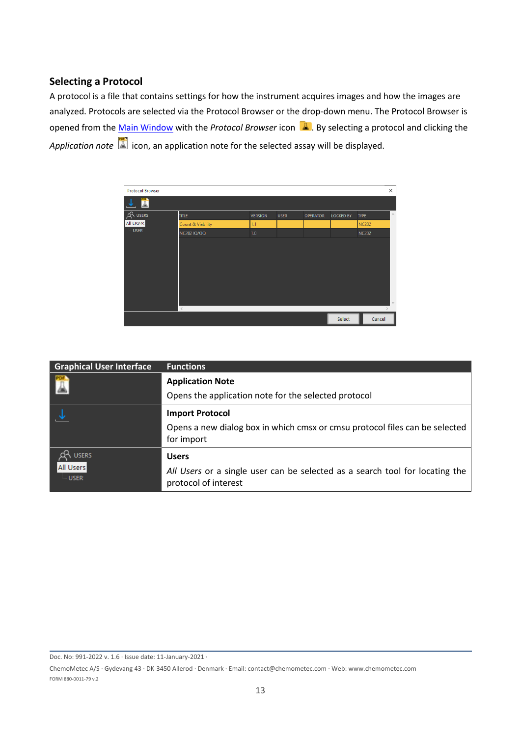#### <span id="page-13-0"></span>**Selecting a Protocol**

A protocol is a file that contains settings for how the instrument acquires images and how the images are analyzed. Protocols are selected via the Protocol Browser or the drop-down menu. The Protocol Browser is opened from the *Main Window* with the *Protocol Browser* icon **4**. By selecting a protocol and clicking the *Application note* icon, an application note for the selected assay will be displayed.

| <b>Protocol Browser</b> |                              |                |             |                 |                  |              | ×          |
|-------------------------|------------------------------|----------------|-------------|-----------------|------------------|--------------|------------|
|                         |                              |                |             |                 |                  |              |            |
| <b>USERS</b>            | <b>TITLE</b>                 | <b>VERSION</b> | <b>USER</b> | <b>OPERATOR</b> | <b>LOCKED BY</b> | <b>TYPE</b>  | $\wedge$   |
| All Users               | <b>Count &amp; Viability</b> | 1.1            |             |                 |                  | <b>NC202</b> |            |
| <b>USER</b>             | NC202 IQ/OQ                  | 1.0            |             |                 |                  | <b>NC202</b> |            |
|                         |                              |                |             |                 |                  |              |            |
|                         |                              |                |             |                 |                  |              |            |
|                         |                              |                |             |                 |                  |              |            |
|                         |                              |                |             |                 |                  |              |            |
|                         |                              |                |             |                 |                  |              |            |
|                         |                              |                |             |                 |                  |              |            |
|                         |                              |                |             |                 |                  |              | $\searrow$ |
|                         | $\,<$                        |                |             |                 |                  |              |            |
|                         |                              |                |             |                 | Select           | Cancel       |            |

| <b>Graphical User Interface</b> | <b>Functions</b>                                                                                     |
|---------------------------------|------------------------------------------------------------------------------------------------------|
|                                 | <b>Application Note</b>                                                                              |
|                                 | Opens the application note for the selected protocol                                                 |
|                                 | <b>Import Protocol</b>                                                                               |
|                                 | Opens a new dialog box in which cmsx or cmsu protocol files can be selected<br>for import            |
| <b>USERS</b>                    | <b>Users</b>                                                                                         |
| All Users<br><b>USER</b>        | All Users or a single user can be selected as a search tool for locating the<br>protocol of interest |

Doc. No: 991-2022 v. 1.6 · Issue date: 11-January-2021 ·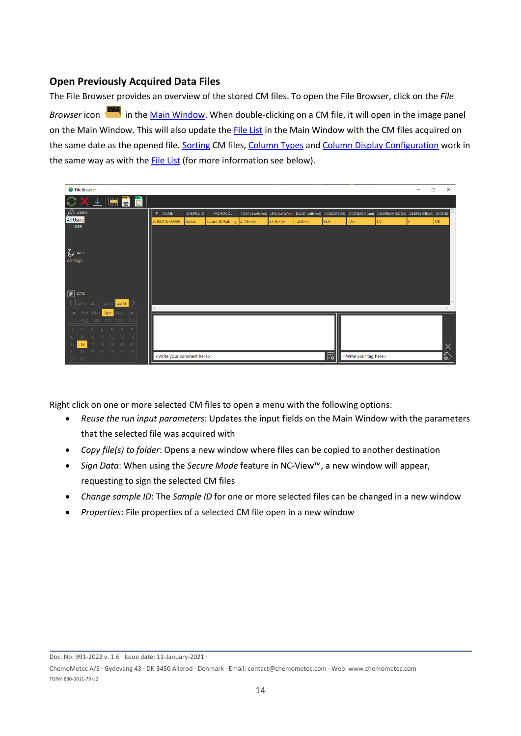#### <span id="page-14-0"></span>**Open Previously Acquired Data Files**

The File Browser provides an overview of the stored CM files. To open the File Browser, click on the *File*  Browser icon in the [Main Window.](#page-7-0) When double-clicking on a CM file, it will open in the image panel on the Main Window. This will also update the [File List](#page-11-0) in the Main Window with the CM files acquired on the same date as the opened file. [Sorting](#page-11-2) CM files, [Column Types](#page-11-2) an[d Column Display Configuration](#page-12-0) work in the same way as with the **File List** (for more information see below).

| <b>O</b> File Browser                         |                                            |           |                   |              |              |              |      |                                        |                                                                                                                 |          | □<br>$\times$ |
|-----------------------------------------------|--------------------------------------------|-----------|-------------------|--------------|--------------|--------------|------|----------------------------------------|-----------------------------------------------------------------------------------------------------------------|----------|---------------|
| <b>E</b><br>$\blacksquare$<br>$\times$ $\tau$ |                                            |           |                   |              |              |              |      |                                        |                                                                                                                 |          |               |
| A USERS                                       | $\nabla$ NAME                              | SAMPLE ID | <b>PROTOCOL</b>   |              |              |              |      |                                        | TOTAL (cells/ml) LIVE (cells/ml) DEAD (cells/ml) VIABILITY (%) DIAMETER (µm) AGGREGATES (%) DEBRIS INDEX STATUS |          |               |
| <b>All Users</b>                              | 20190416-00009                             | Jurkat    | Count & Viability | $2.14E + 06$ | $2.01E + 06$ | $1.32E + 05$ | 93.9 | 10.6                                   | 1.0 <sub>1</sub>                                                                                                | $\Omega$ | OK            |
| <b>USER</b><br>$\bigotimes$ TAGS<br>All Tags  |                                            |           |                   |              |              |              |      |                                        |                                                                                                                 |          |               |
| $\boxed{\overrightarrow{m}}$ date             |                                            |           |                   |              |              |              |      |                                        |                                                                                                                 |          |               |
| 2016 2017 2018 2019 >                         |                                            |           |                   |              |              |              |      |                                        |                                                                                                                 |          | $\mathcal{M}$ |
| Feb Mar<br>Apr May Jun<br>Jan                 |                                            |           |                   |              |              |              |      |                                        |                                                                                                                 |          |               |
| Aug Sep Oct Nov Dec<br>Jul                    |                                            |           |                   |              |              |              |      |                                        |                                                                                                                 |          |               |
| - 6 -<br>$-5$<br>7<br>3<br>$\overline{A}$     |                                            |           |                   |              |              |              |      |                                        |                                                                                                                 |          |               |
| 11  12  13  14<br>10 <sup>1</sup>             |                                            |           |                   |              |              |              |      |                                        |                                                                                                                 |          |               |
| 18 19 20 21<br>16<br>17 <sup>°</sup>          |                                            |           |                   |              |              |              |      |                                        |                                                                                                                 |          |               |
| 23 24 25 26 27 28<br>22<br>29 30              | <write comment="" here="" your=""></write> |           |                   |              |              |              | 局    | <write here="" tag="" your=""></write> |                                                                                                                 |          | ြိ            |

Right click on one or more selected CM files to open a menu with the following options:

- *Reuse the run input parameters*: Updates the input fields on the Main Window with the parameters that the selected file was acquired with
- *Copy file(s) to folder*: Opens a new window where files can be copied to another destination
- *Sign Data*: When using the *Secure Mode* feature in NC-View™, a new window will appear, requesting to sign the selected CM files
- *Change sample ID*: The *Sample ID* for one or more selected files can be changed in a new window
- *Properties*: File properties of a selected CM file open in a new window

Doc. No: 991-2022 v. 1.6 · Issue date: 11-January-2021 ·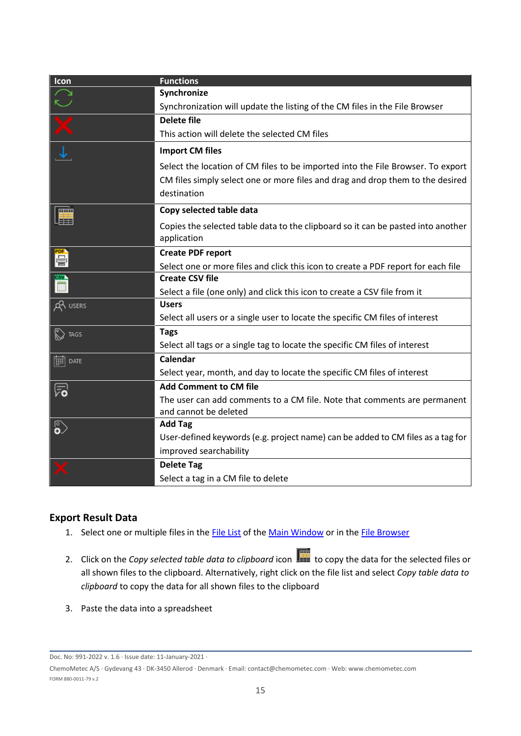| Icon                              | <b>Functions</b>                                                                  |
|-----------------------------------|-----------------------------------------------------------------------------------|
| Ç                                 | Synchronize                                                                       |
|                                   | Synchronization will update the listing of the CM files in the File Browser       |
|                                   | <b>Delete file</b>                                                                |
| X                                 | This action will delete the selected CM files                                     |
|                                   | <b>Import CM files</b>                                                            |
|                                   | Select the location of CM files to be imported into the File Browser. To export   |
|                                   | CM files simply select one or more files and drag and drop them to the desired    |
|                                   | destination                                                                       |
| <u>ਰਹਰ</u>                        | Copy selected table data                                                          |
| Ħ                                 | Copies the selected table data to the clipboard so it can be pasted into another  |
|                                   | application                                                                       |
| 骨                                 | <b>Create PDF report</b>                                                          |
|                                   | Select one or more files and click this icon to create a PDF report for each file |
|                                   | <b>Create CSV file</b>                                                            |
|                                   | Select a file (one only) and click this icon to create a CSV file from it         |
| Q <sup>2</sup> USERS              | <b>Users</b>                                                                      |
|                                   | Select all users or a single user to locate the specific CM files of interest     |
| <b>S</b> TAGS                     | <b>Tags</b>                                                                       |
|                                   | Select all tags or a single tag to locate the specific CM files of interest       |
| $\boxed{\overrightarrow{m}}$ date | <b>Calendar</b>                                                                   |
|                                   | Select year, month, and day to locate the specific CM files of interest           |
| ్                                 | <b>Add Comment to CM file</b>                                                     |
|                                   | The user can add comments to a CM file. Note that comments are permanent          |
|                                   | and cannot be deleted                                                             |
| ఏ                                 | <b>Add Tag</b>                                                                    |
|                                   | User-defined keywords (e.g. project name) can be added to CM files as a tag for   |
|                                   | improved searchability                                                            |
|                                   | <b>Delete Tag</b>                                                                 |
|                                   | Select a tag in a CM file to delete                                               |

#### <span id="page-15-0"></span>**Export Result Data**

- 1. Select one or multiple files in the [File List](#page-11-0) of the [Main Window](#page-7-0) or in th[e File Browser](#page-14-0)
- 2. Click on the *Copy selected table data to clipboard* icon **the** *copy* the data for the selected files or all shown files to the clipboard. Alternatively, right click on the file list and select *Copy table data to clipboard* to copy the data for all shown files to the clipboard
- 3. Paste the data into a spreadsheet

Doc. No: 991-2022 v. 1.6 · Issue date: 11-January-2021 ·

ChemoMetec A/S · Gydevang 43 · DK-3450 Allerod · Denmark · Email: contact@chemometec.com · Web: www.chemometec.com FORM 880-0011-79 v.2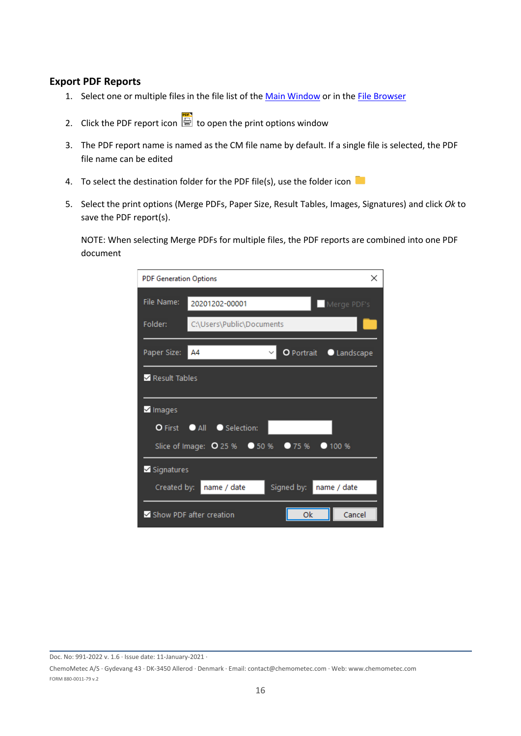#### <span id="page-16-0"></span>**Export PDF Reports**

- 1. Select one or multiple files in the file list of the [Main Window](#page-7-0) or in the [File Browser](#page-14-0)
- 2. Click the PDF report icon  $\Box$  to open the print options window
- 3. The PDF report name is named as the CM file name by default. If a single file is selected, the PDF file name can be edited
- 4. To select the destination folder for the PDF file(s), use the folder icon
- 5. Select the print options (Merge PDFs, Paper Size, Result Tables, Images, Signatures) and click *Ok* to save the PDF report(s).

NOTE: When selecting Merge PDFs for multiple files, the PDF reports are combined into one PDF document

| <b>PDF Generation Options</b>      |                                |                 | ×                    |
|------------------------------------|--------------------------------|-----------------|----------------------|
| File Name:                         | 20201202-00001                 |                 | Merge PDF's          |
| Folder:                            | C:\Users\Public\Documents      |                 |                      |
| Paper Size:                        | A4                             |                 | O Portrait Landscape |
| Result Tables                      |                                |                 |                      |
| $\sqrt{}$ Images                   |                                |                 |                      |
|                                    | O First • All • Selection:     |                 |                      |
|                                    | Slice of Image: 0 25 %         | • 50%<br>• 75 % | • 100 %              |
| $\overline{\mathbf{v}}$ Signatures |                                |                 |                      |
| Created by:                        | name / date                    | Signed by:      | name / date          |
|                                    | $\vee$ Show PDF after creation | Ok              | Cancel               |

Doc. No: 991-2022 v. 1.6 · Issue date: 11-January-2021 ·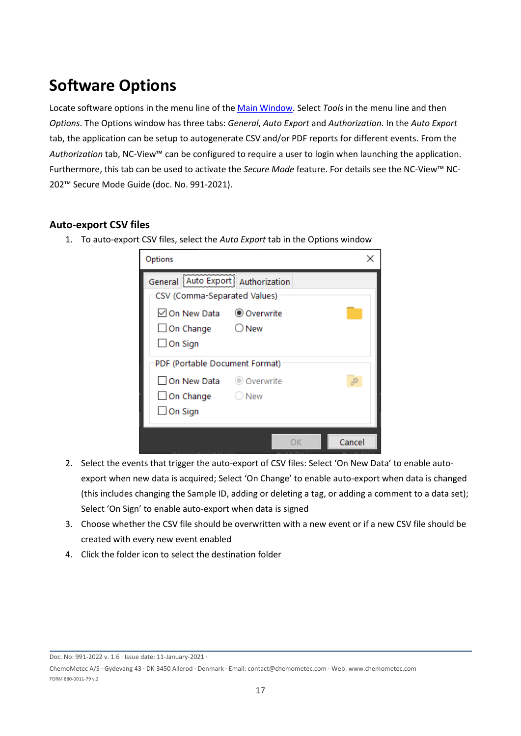# <span id="page-17-0"></span>**Software Options**

Locate software options in the menu line of the [Main Window.](#page-7-0) Select *Tools* in the menu line and then *Options*. The Options window has three tabs: *General*, *Auto Export* and *Authorization*. In the *Auto Export* tab, the application can be setup to autogenerate CSV and/or PDF reports for different events. From the *Authorization* tab, NC-View™ can be configured to require a user to login when launching the application. Furthermore, this tab can be used to activate the *Secure Mode* feature. For details see the NC-View™ NC-202™ Secure Mode Guide (doc. No. 991-2021).

#### <span id="page-17-1"></span>**Auto-export CSV files**

1. To auto-export CSV files, select the *Auto Export* tab in the Options window

| Options                                                                           |       |        |
|-----------------------------------------------------------------------------------|-------|--------|
| General Auto Export Authorization<br>CSV (Comma-Separated Values)                 |       |        |
| ○ On New Data <b>O</b> Overwrite<br>$\Box$ On Change $\Box$ New<br>$\Box$ On Sign |       |        |
| PDF (Portable Document Format)                                                    |       |        |
| On New Data © Overwrite<br>$\Box$ On Change<br>$\Box$ On Sign                     | ○ New |        |
|                                                                                   | OК    | Cancel |

- 2. Select the events that trigger the auto-export of CSV files: Select 'On New Data' to enable autoexport when new data is acquired; Select 'On Change' to enable auto-export when data is changed (this includes changing the Sample ID, adding or deleting a tag, or adding a comment to a data set); Select 'On Sign' to enable auto-export when data is signed
- 3. Choose whether the CSV file should be overwritten with a new event or if a new CSV file should be created with every new event enabled
- 4. Click the folder icon to select the destination folder

Doc. No: 991-2022 v. 1.6 · Issue date: 11-January-2021 ·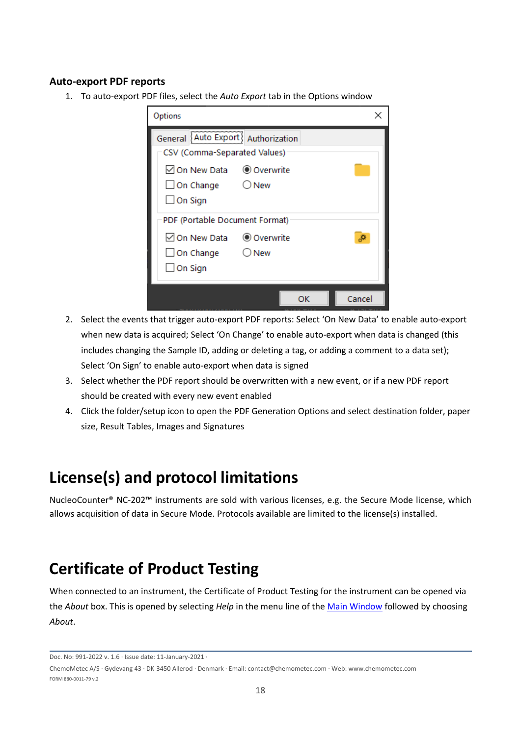#### <span id="page-18-0"></span>**Auto-export PDF reports**

1. To auto-export PDF files, select the *Auto Export* tab in the Options window

| Options                                                                                                            |    |        |
|--------------------------------------------------------------------------------------------------------------------|----|--------|
| General Auto Export Authorization<br>CSV (Comma-Separated Values)<br>$\Box$ On Change $\Box$ New<br>$\Box$ On Sign |    |        |
| PDF (Portable Document Format)<br>$\Box$ On Change $\Box$ New<br>$\Box$ On Sign                                    |    |        |
|                                                                                                                    | ОΚ | Cancel |

- 2. Select the events that trigger auto-export PDF reports: Select 'On New Data' to enable auto-export when new data is acquired; Select 'On Change' to enable auto-export when data is changed (this includes changing the Sample ID, adding or deleting a tag, or adding a comment to a data set); Select 'On Sign' to enable auto-export when data is signed
- 3. Select whether the PDF report should be overwritten with a new event, or if a new PDF report should be created with every new event enabled
- 4. Click the folder/setup icon to open the PDF Generation Options and select destination folder, paper size, Result Tables, Images and Signatures

# <span id="page-18-1"></span>**License(s) and protocol limitations**

NucleoCounter® NC-202™ instruments are sold with various licenses, e.g. the Secure Mode license, which allows acquisition of data in Secure Mode. Protocols available are limited to the license(s) installed.

### <span id="page-18-2"></span>**Certificate of Product Testing**

When connected to an instrument, the Certificate of Product Testing for the instrument can be opened via the *About* box. This is opened by selecting *Help* in the menu line of the [Main Window](#page-7-0) followed by choosing *About*.

Doc. No: 991-2022 v. 1.6 · Issue date: 11-January-2021 ·

ChemoMetec A/S · Gydevang 43 · DK-3450 Allerod · Denmark · Email: contact@chemometec.com · Web: www.chemometec.com FORM 880-0011-79 v.2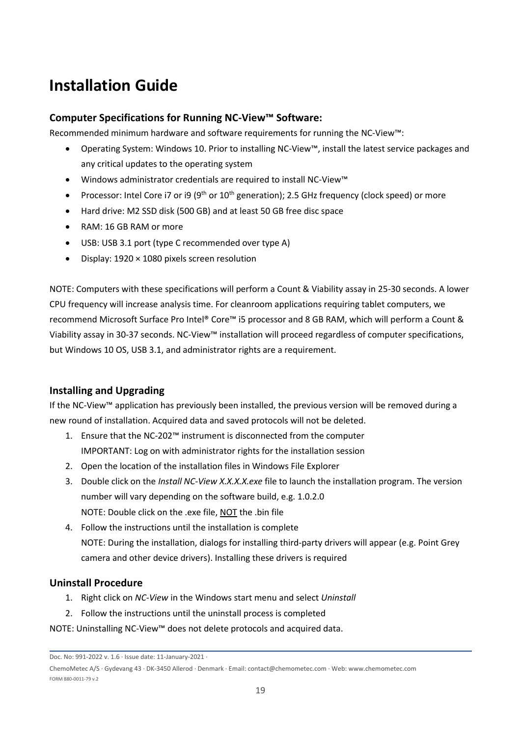## <span id="page-19-0"></span>**Installation Guide**

#### <span id="page-19-1"></span>**Computer Specifications for Running NC-View™ Software:**

Recommended minimum hardware and software requirements for running the NC-View™:

- Operating System: Windows 10. Prior to installing NC-View™, install the latest service packages and any critical updates to the operating system
- Windows administrator credentials are required to install NC-View™
- Processor: Intel Core i7 or i9 (9<sup>th</sup> or 10<sup>th</sup> generation); 2.5 GHz frequency (clock speed) or more
- Hard drive: M2 SSD disk (500 GB) and at least 50 GB free disc space
- RAM: 16 GB RAM or more
- USB: USB 3.1 port (type C recommended over type A)
- Display: 1920 × 1080 pixels screen resolution

NOTE: Computers with these specifications will perform a Count & Viability assay in 25-30 seconds. A lower CPU frequency will increase analysis time. For cleanroom applications requiring tablet computers, we recommend Microsoft Surface Pro Intel® Core™ i5 processor and 8 GB RAM, which will perform a Count & Viability assay in 30-37 seconds. NC-View™ installation will proceed regardless of computer specifications, but Windows 10 OS, USB 3.1, and administrator rights are a requirement.

#### <span id="page-19-2"></span>**Installing and Upgrading**

If the NC-View™ application has previously been installed, the previous version will be removed during a new round of installation. Acquired data and saved protocols will not be deleted.

- 1. Ensure that the NC-202™ instrument is disconnected from the computer IMPORTANT: Log on with administrator rights for the installation session
- 2. Open the location of the installation files in Windows File Explorer
- 3. Double click on the *Install NC-View X.X.X.X.exe* file to launch the installation program. The version number will vary depending on the software build, e.g. 1.0.2.0 NOTE: Double click on the .exe file, NOT the .bin file
- 4. Follow the instructions until the installation is complete NOTE: During the installation, dialogs for installing third-party drivers will appear (e.g. Point Grey camera and other device drivers). Installing these drivers is required

#### <span id="page-19-3"></span>**Uninstall Procedure**

- 1. Right click on *NC-View* in the Windows start menu and select *Uninstall*
- 2. Follow the instructions until the uninstall process is completed
- NOTE: Uninstalling NC-View™ does not delete protocols and acquired data.

Doc. No: 991-2022 v. 1.6 · Issue date: 11-January-2021 ·

ChemoMetec A/S · Gydevang 43 · DK-3450 Allerod · Denmark · Email: contact@chemometec.com · Web: www.chemometec.com FORM 880-0011-79 v.2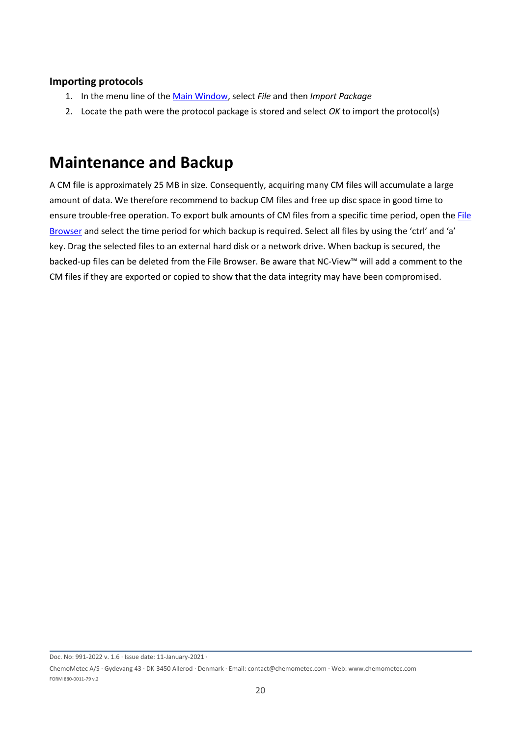#### <span id="page-20-0"></span>**Importing protocols**

- 1. In the menu line of the [Main Window,](#page-7-0) select *File* and then *Import Package*
- 2. Locate the path were the protocol package is stored and select *OK* to import the protocol(s)

### <span id="page-20-1"></span>**Maintenance and Backup**

A CM file is approximately 25 MB in size. Consequently, acquiring many CM files will accumulate a large amount of data. We therefore recommend to backup CM files and free up disc space in good time to ensure trouble-free operation. To export bulk amounts of CM files from a specific time period, open the File [Browser](#page-14-0) and select the time period for which backup is required. Select all files by using the 'ctrl' and 'a' key. Drag the selected files to an external hard disk or a network drive. When backup is secured, the backed-up files can be deleted from the File Browser. Be aware that NC-View™ will add a comment to the CM files if they are exported or copied to show that the data integrity may have been compromised.

Doc. No: 991-2022 v. 1.6 · Issue date: 11-January-2021 ·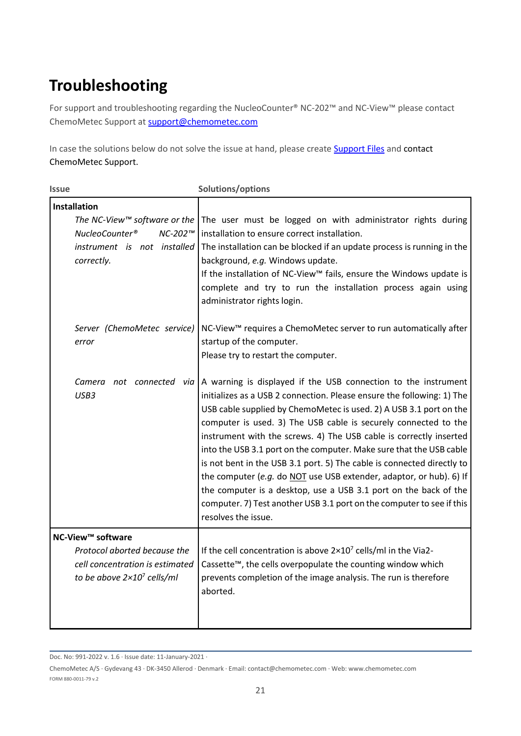# <span id="page-21-0"></span>**Troubleshooting**

For support and troubleshooting regarding the NucleoCounter® NC-202™ and NC-View™ please contact ChemoMetec Support at [support@chemometec.com](mailto:support@chemometec.com)

In case the solutions below do not solve the issue at hand, please create **Support Files** and contact ChemoMetec Support.

| <i><b>Issue</b></i>                                                                                                                       | Solutions/options                                                                                                                                                                                                                                                                                                                                                                                                                                                                                                                                                                                                                                                                                                                                                            |
|-------------------------------------------------------------------------------------------------------------------------------------------|------------------------------------------------------------------------------------------------------------------------------------------------------------------------------------------------------------------------------------------------------------------------------------------------------------------------------------------------------------------------------------------------------------------------------------------------------------------------------------------------------------------------------------------------------------------------------------------------------------------------------------------------------------------------------------------------------------------------------------------------------------------------------|
| <b>Installation</b><br>The NC-View™ software or the<br>NucleoCounter <sup>®</sup><br>NC-202™<br>instrument is not installed<br>correctly. | The user must be logged on with administrator rights during<br>installation to ensure correct installation.<br>The installation can be blocked if an update process is running in the<br>background, e.g. Windows update.<br>If the installation of NC-View™ fails, ensure the Windows update is<br>complete and try to run the installation process again using<br>administrator rights login.                                                                                                                                                                                                                                                                                                                                                                              |
| Server (ChemoMetec service)<br>error                                                                                                      | NC-View <sup>™</sup> requires a ChemoMetec server to run automatically after<br>startup of the computer.<br>Please try to restart the computer.                                                                                                                                                                                                                                                                                                                                                                                                                                                                                                                                                                                                                              |
| USB3                                                                                                                                      | Camera not connected via A warning is displayed if the USB connection to the instrument<br>initializes as a USB 2 connection. Please ensure the following: 1) The<br>USB cable supplied by ChemoMetec is used. 2) A USB 3.1 port on the<br>computer is used. 3) The USB cable is securely connected to the<br>instrument with the screws. 4) The USB cable is correctly inserted<br>into the USB 3.1 port on the computer. Make sure that the USB cable<br>is not bent in the USB 3.1 port. 5) The cable is connected directly to<br>the computer (e.g. do NOT use USB extender, adaptor, or hub). 6) If<br>the computer is a desktop, use a USB 3.1 port on the back of the<br>computer. 7) Test another USB 3.1 port on the computer to see if this<br>resolves the issue. |
| NC-View <sup>™</sup> software<br>Protocol aborted because the<br>cell concentration is estimated                                          | If the cell concentration is above $2\times10^7$ cells/ml in the Via2-<br>Cassette™, the cells overpopulate the counting window which                                                                                                                                                                                                                                                                                                                                                                                                                                                                                                                                                                                                                                        |
| to be above $2 \times 10^7$ cells/ml                                                                                                      | prevents completion of the image analysis. The run is therefore<br>aborted.                                                                                                                                                                                                                                                                                                                                                                                                                                                                                                                                                                                                                                                                                                  |

Doc. No: 991-2022 v. 1.6 · Issue date: 11-January-2021 ·

ChemoMetec A/S · Gydevang 43 · DK-3450 Allerod · Denmark · Email: contact@chemometec.com · Web: www.chemometec.com FORM 880-0011-79 v.2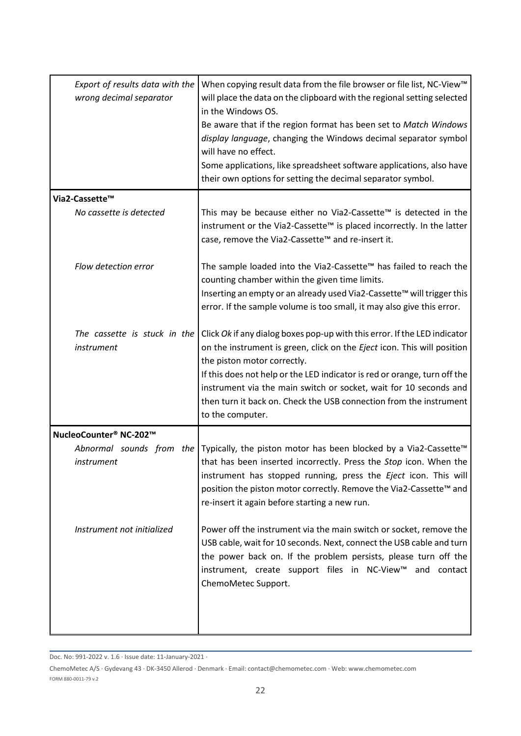| Export of results data with the<br>wrong decimal separator | When copying result data from the file browser or file list, NC-View <sup>™</sup><br>will place the data on the clipboard with the regional setting selected<br>in the Windows OS.<br>Be aware that if the region format has been set to Match Windows<br>display language, changing the Windows decimal separator symbol<br>will have no effect.<br>Some applications, like spreadsheet software applications, also have<br>their own options for setting the decimal separator symbol. |
|------------------------------------------------------------|------------------------------------------------------------------------------------------------------------------------------------------------------------------------------------------------------------------------------------------------------------------------------------------------------------------------------------------------------------------------------------------------------------------------------------------------------------------------------------------|
| Via2-Cassette™                                             |                                                                                                                                                                                                                                                                                                                                                                                                                                                                                          |
| No cassette is detected                                    | This may be because either no Via2-Cassette™ is detected in the<br>instrument or the Via2-Cassette™ is placed incorrectly. In the latter<br>case, remove the Via2-Cassette™ and re-insert it.                                                                                                                                                                                                                                                                                            |
| Flow detection error                                       | The sample loaded into the Via2-Cassette™ has failed to reach the<br>counting chamber within the given time limits.<br>Inserting an empty or an already used Via2-Cassette™ will trigger this<br>error. If the sample volume is too small, it may also give this error.                                                                                                                                                                                                                  |
| The cassette is stuck in the<br>instrument                 | Click Ok if any dialog boxes pop-up with this error. If the LED indicator<br>on the instrument is green, click on the Eject icon. This will position<br>the piston motor correctly.<br>If this does not help or the LED indicator is red or orange, turn off the<br>instrument via the main switch or socket, wait for 10 seconds and<br>then turn it back on. Check the USB connection from the instrument<br>to the computer.                                                          |
| NucleoCounter® NC-202™                                     |                                                                                                                                                                                                                                                                                                                                                                                                                                                                                          |
| Abnormal sounds from the<br>instrument                     | Typically, the piston motor has been blocked by a Via2-Cassette <sup>™</sup><br>that has been inserted incorrectly. Press the Stop icon. When the<br>instrument has stopped running, press the Eject icon. This will<br>position the piston motor correctly. Remove the Via2-Cassette™ and<br>re-insert it again before starting a new run.                                                                                                                                              |
| Instrument not initialized                                 | Power off the instrument via the main switch or socket, remove the<br>USB cable, wait for 10 seconds. Next, connect the USB cable and turn<br>the power back on. If the problem persists, please turn off the<br>instrument, create support files in NC-View™ and contact<br>ChemoMetec Support.                                                                                                                                                                                         |

Doc. No: 991-2022 v. 1.6 · Issue date: 11-January-2021 ·

ChemoMetec A/S · Gydevang 43 · DK-3450 Allerod · Denmark · Email: contact@chemometec.com · Web: www.chemometec.com FORM 880-0011-79 v.2